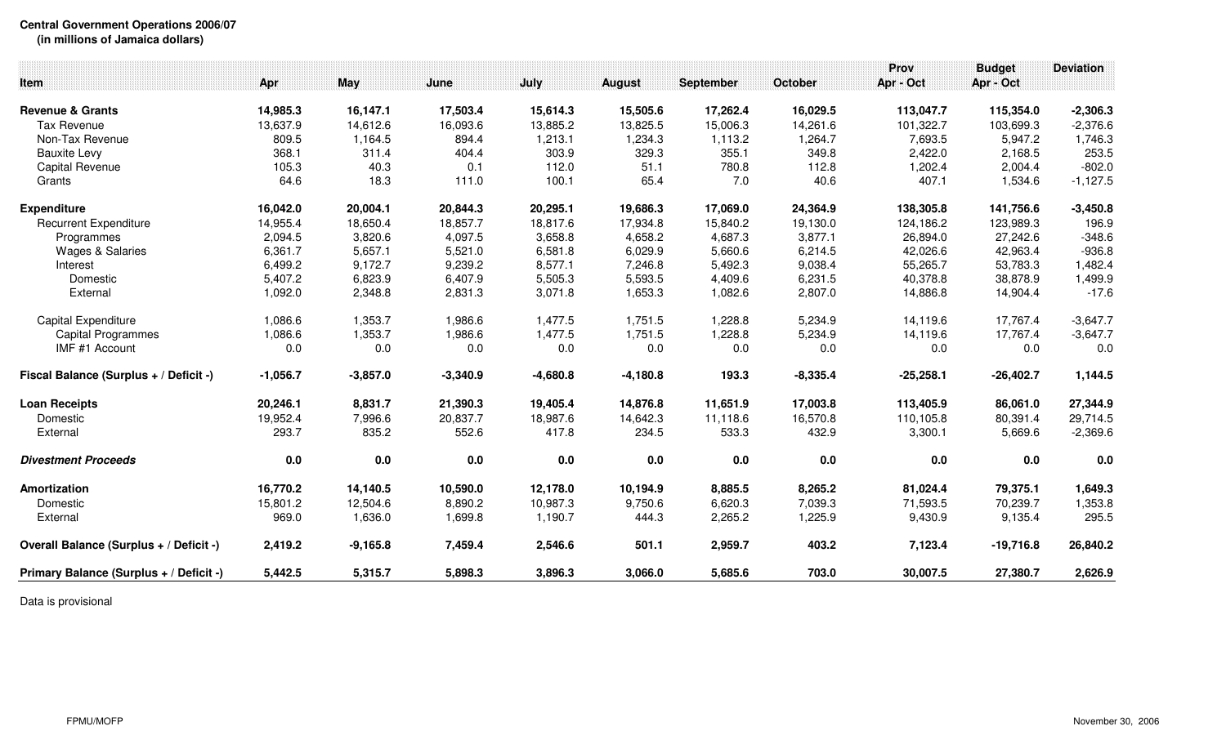**Central Government Operations 2006/07**

**(in millions of Jamaica dollars)**

| Item                                    | Apr        | <b>May</b> | June       | July       | <b>August</b> | <b>September</b> | October    | Prov<br>Apr - Oct | <b>Budget</b><br>Apr - Oct | <b>Deviation</b> |
|-----------------------------------------|------------|------------|------------|------------|---------------|------------------|------------|-------------------|----------------------------|------------------|
| <b>Revenue &amp; Grants</b>             | 14,985.3   | 16,147.1   | 17,503.4   | 15,614.3   | 15,505.6      | 17,262.4         | 16,029.5   | 113,047.7         | 115,354.0                  | $-2,306.3$       |
| <b>Tax Revenue</b>                      | 13,637.9   | 14,612.6   | 16,093.6   | 13,885.2   | 13,825.5      | 15,006.3         | 14,261.6   | 101,322.7         | 103,699.3                  | $-2,376.6$       |
| Non-Tax Revenue                         | 809.5      | 1,164.5    | 894.4      | 1,213.1    | 1,234.3       | 1,113.2          | 1,264.7    | 7,693.5           | 5,947.2                    | 1,746.3          |
| <b>Bauxite Levy</b>                     | 368.1      | 311.4      | 404.4      | 303.9      | 329.3         | 355.1            | 349.8      | 2,422.0           | 2,168.5                    | 253.5            |
| <b>Capital Revenue</b>                  | 105.3      | 40.3       | 0.1        | 112.0      | 51.1          | 780.8            | 112.8      | 1,202.4           | 2,004.4                    | $-802.0$         |
| Grants                                  | 64.6       | 18.3       | 111.0      | 100.1      | 65.4          | 7.0              | 40.6       | 407.1             | 1,534.6                    | $-1,127.5$       |
| <b>Expenditure</b>                      | 16,042.0   | 20,004.1   | 20,844.3   | 20,295.1   | 19,686.3      | 17,069.0         | 24,364.9   | 138,305.8         | 141,756.6                  | $-3,450.8$       |
| <b>Recurrent Expenditure</b>            | 14,955.4   | 18,650.4   | 18,857.7   | 18,817.6   | 17,934.8      | 15,840.2         | 19,130.0   | 124,186.2         | 123,989.3                  | 196.9            |
| Programmes                              | 2,094.5    | 3,820.6    | 4,097.5    | 3,658.8    | 4,658.2       | 4,687.3          | 3,877.1    | 26,894.0          | 27,242.6                   | $-348.6$         |
| <b>Wages &amp; Salaries</b>             | 6,361.7    | 5,657.1    | 5,521.0    | 6,581.8    | 6,029.9       | 5,660.6          | 6,214.5    | 42,026.6          | 42,963.4                   | $-936.8$         |
| Interest                                | 6,499.2    | 9,172.7    | 9,239.2    | 8,577.1    | 7,246.8       | 5,492.3          | 9,038.4    | 55,265.7          | 53,783.3                   | 1,482.4          |
| Domestic                                | 5,407.2    | 6,823.9    | 6,407.9    | 5,505.3    | 5,593.5       | 4,409.6          | 6,231.5    | 40,378.8          | 38,878.9                   | 1,499.9          |
| External                                | 1,092.0    | 2,348.8    | 2,831.3    | 3,071.8    | 1,653.3       | 1,082.6          | 2,807.0    | 14,886.8          | 14,904.4                   | $-17.6$          |
| <b>Capital Expenditure</b>              | 1,086.6    | 1,353.7    | 1,986.6    | 1,477.5    | 1,751.5       | 1,228.8          | 5,234.9    | 14,119.6          | 17,767.4                   | $-3,647.7$       |
| <b>Capital Programmes</b>               | 1,086.6    | 1,353.7    | 1,986.6    | 1,477.5    | 1,751.5       | 1,228.8          | 5,234.9    | 14,119.6          | 17,767.4                   | $-3,647.7$       |
| IMF #1 Account                          | 0.0        | 0.0        | 0.0        | 0.0        | 0.0           | 0.0              | 0.0        | 0.0               | 0.0                        | 0.0              |
| Fiscal Balance (Surplus + / Deficit -)  | $-1,056.7$ | $-3,857.0$ | $-3,340.9$ | $-4,680.8$ | $-4,180.8$    | 193.3            | $-8,335.4$ | $-25,258.1$       | $-26,402.7$                | 1,144.5          |
| <b>Loan Receipts</b>                    | 20,246.1   | 8,831.7    | 21,390.3   | 19,405.4   | 14,876.8      | 11,651.9         | 17,003.8   | 113,405.9         | 86,061.0                   | 27,344.9         |
| Domestic                                | 19,952.4   | 7,996.6    | 20,837.7   | 18,987.6   | 14,642.3      | 11,118.6         | 16,570.8   | 110,105.8         | 80,391.4                   | 29,714.5         |
| External                                | 293.7      | 835.2      | 552.6      | 417.8      | 234.5         | 533.3            | 432.9      | 3,300.1           | 5,669.6                    | $-2,369.6$       |
| <b>Divestment Proceeds</b>              | 0.0        | 0.0        | 0.0        | 0.0        | 0.0           | 0.0              | 0.0        | 0.0               | 0.0                        | 0.0              |
| Amortization                            | 16,770.2   | 14,140.5   | 10,590.0   | 12,178.0   | 10,194.9      | 8,885.5          | 8,265.2    | 81,024.4          | 79,375.1                   | 1,649.3          |
| Domestic                                | 15,801.2   | 12,504.6   | 8,890.2    | 10,987.3   | 9,750.6       | 6,620.3          | 7,039.3    | 71,593.5          | 70,239.7                   | 1,353.8          |
| External                                | 969.0      | 1,636.0    | 1,699.8    | 1,190.7    | 444.3         | 2,265.2          | 1,225.9    | 9,430.9           | 9,135.4                    | 295.5            |
| Overall Balance (Surplus + / Deficit -) | 2,419.2    | $-9,165.8$ | 7,459.4    | 2,546.6    | 501.1         | 2,959.7          | 403.2      | 7,123.4           | $-19,716.8$                | 26,840.2         |
| Primary Balance (Surplus + / Deficit -) | 5,442.5    | 5,315.7    | 5,898.3    | 3,896.3    | 3,066.0       | 5,685.6          | 703.0      | 30,007.5          | 27,380.7                   | 2,626.9          |

Data is provisional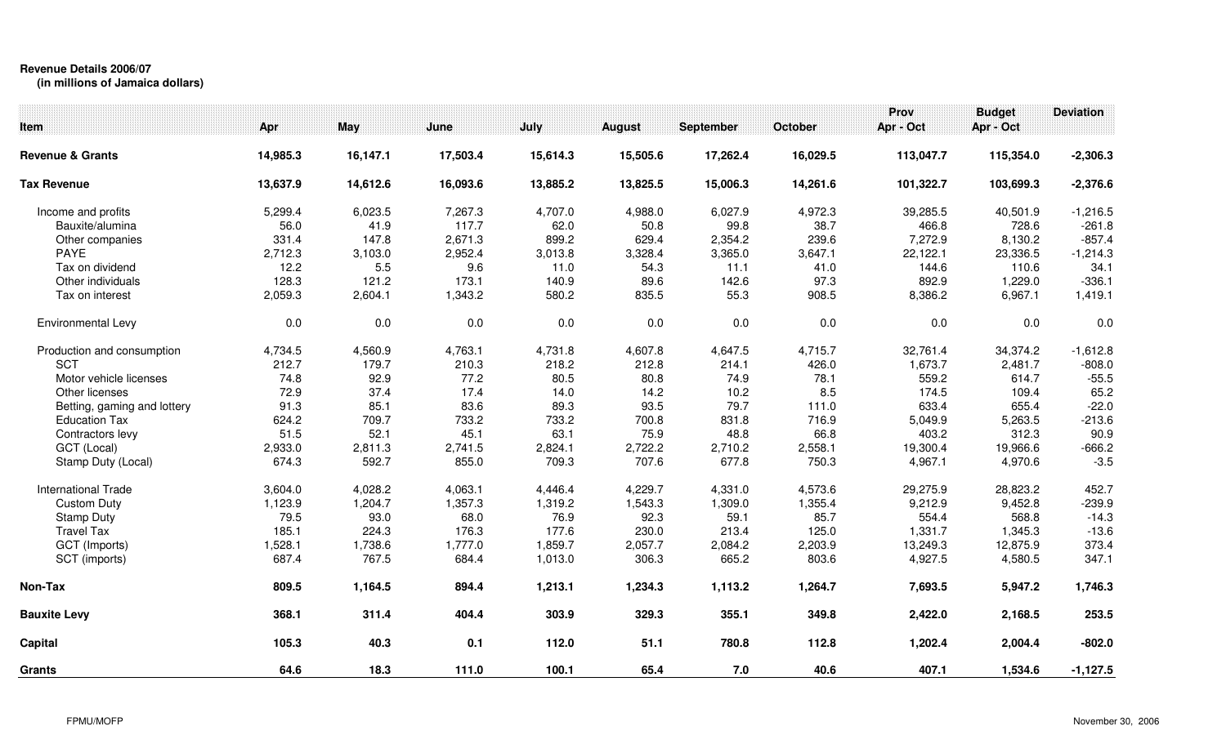## **Revenue Details 2006/07**

**(in millions of Jamaica dollars)**

| Item                        | Apr      | May      | June     | July     | <b>August</b> | September | October  | Prov<br>Apr - Oct | <b>Budget</b><br>Apr - Oct | <b>Deviation</b> |
|-----------------------------|----------|----------|----------|----------|---------------|-----------|----------|-------------------|----------------------------|------------------|
| <b>Revenue &amp; Grants</b> | 14,985.3 | 16,147.1 | 17,503.4 | 15,614.3 | 15,505.6      | 17,262.4  | 16,029.5 | 113,047.7         | 115,354.0                  | $-2,306.3$       |
| <b>Tax Revenue</b>          | 13,637.9 | 14,612.6 | 16,093.6 | 13,885.2 | 13,825.5      | 15,006.3  | 14,261.6 | 101,322.7         | 103,699.3                  | $-2,376.6$       |
| Income and profits          | 5,299.4  | 6,023.5  | 7,267.3  | 4,707.0  | 4,988.0       | 6,027.9   | 4,972.3  | 39,285.5          | 40,501.9                   | $-1,216.5$       |
| Bauxite/alumina             | 56.0     | 41.9     | 117.7    | 62.0     | 50.8          | 99.8      | 38.7     | 466.8             | 728.6                      | $-261.8$         |
| Other companies             | 331.4    | 147.8    | 2,671.3  | 899.2    | 629.4         | 2,354.2   | 239.6    | 7,272.9           | 8,130.2                    | $-857.4$         |
| <b>PAYE</b>                 | 2,712.3  | 3,103.0  | 2,952.4  | 3,013.8  | 3,328.4       | 3,365.0   | 3,647.1  | 22,122.1          | 23,336.5                   | $-1,214.3$       |
| Tax on dividend             | 12.2     | 5.5      | 9.6      | 11.0     | 54.3          | 11.1      | 41.0     | 144.6             | 110.6                      | 34.1             |
| Other individuals           | 128.3    | 121.2    | 173.1    | 140.9    | 89.6          | 142.6     | 97.3     | 892.9             | 1,229.0                    | $-336.1$         |
| Tax on interest             | 2,059.3  | 2,604.1  | 1,343.2  | 580.2    | 835.5         | 55.3      | 908.5    | 8,386.2           | 6,967.1                    | 1,419.1          |
| Environmental Levy          | $0.0\,$  | 0.0      | 0.0      | $0.0\,$  | 0.0           | 0.0       | 0.0      | $0.0\,$           | 0.0                        | 0.0              |
| Production and consumption  | 4,734.5  | 4,560.9  | 4,763.1  | 4,731.8  | 4,607.8       | 4,647.5   | 4,715.7  | 32,761.4          | 34,374.2                   | $-1,612.8$       |
| <b>SCT</b>                  | 212.7    | 179.7    | 210.3    | 218.2    | 212.8         | 214.1     | 426.0    | 1,673.7           | 2,481.7                    | $-808.0$         |
| Motor vehicle licenses      | 74.8     | 92.9     | 77.2     | 80.5     | 80.8          | 74.9      | 78.1     | 559.2             | 614.7                      | $-55.5$          |
| Other licenses              | 72.9     | 37.4     | 17.4     | 14.0     | 14.2          | 10.2      | 8.5      | 174.5             | 109.4                      | 65.2             |
| Betting, gaming and lottery | 91.3     | 85.1     | 83.6     | 89.3     | 93.5          | 79.7      | 111.0    | 633.4             | 655.4                      | $-22.0$          |
| <b>Education Tax</b>        | 624.2    | 709.7    | 733.2    | 733.2    | 700.8         | 831.8     | 716.9    | 5,049.9           | 5,263.5                    | $-213.6$         |
| Contractors levy            | 51.5     | 52.1     | 45.1     | 63.1     | 75.9          | 48.8      | 66.8     | 403.2             | 312.3                      | 90.9             |
| GCT (Local)                 | 2,933.0  | 2,811.3  | 2,741.5  | 2,824.1  | 2,722.2       | 2,710.2   | 2,558.1  | 19,300.4          | 19,966.6                   | $-666.2$         |
| Stamp Duty (Local)          | 674.3    | 592.7    | 855.0    | 709.3    | 707.6         | 677.8     | 750.3    | 4,967.1           | 4,970.6                    | $-3.5$           |
| <b>International Trade</b>  | 3,604.0  | 4,028.2  | 4,063.1  | 4,446.4  | 4,229.7       | 4,331.0   | 4,573.6  | 29,275.9          | 28,823.2                   | 452.7            |
| <b>Custom Duty</b>          | 1,123.9  | 1,204.7  | 1,357.3  | 1,319.2  | 1,543.3       | 1,309.0   | 1,355.4  | 9,212.9           | 9,452.8                    | $-239.9$         |
| <b>Stamp Duty</b>           | 79.5     | 93.0     | 68.0     | 76.9     | 92.3          | 59.1      | 85.7     | 554.4             | 568.8                      | $-14.3$          |
| <b>Travel Tax</b>           | 185.1    | 224.3    | 176.3    | 177.6    | 230.0         | 213.4     | 125.0    | 1,331.7           | 1,345.3                    | $-13.6$          |
| GCT (Imports)               | 1,528.1  | 1,738.6  | 1,777.0  | 1,859.7  | 2,057.7       | 2,084.2   | 2,203.9  | 13,249.3          | 12,875.9                   | 373.4            |
| SCT (imports)               | 687.4    | 767.5    | 684.4    | 1,013.0  | 306.3         | 665.2     | 803.6    | 4,927.5           | 4,580.5                    | 347.1            |
| Non-Tax                     | 809.5    | 1,164.5  | 894.4    | 1,213.1  | 1,234.3       | 1,113.2   | 1,264.7  | 7,693.5           | 5,947.2                    | 1,746.3          |
| <b>Bauxite Levy</b>         | 368.1    | 311.4    | 404.4    | 303.9    | 329.3         | 355.1     | 349.8    | 2,422.0           | 2,168.5                    | 253.5            |
| Capital                     | 105.3    | 40.3     | 0.1      | 112.0    | 51.1          | 780.8     | 112.8    | 1,202.4           | 2,004.4                    | $-802.0$         |
| <b>Grants</b>               | 64.6     | 18.3     | 111.0    | 100.1    | 65.4          | 7.0       | 40.6     | 407.1             | 1,534.6                    | $-1,127.5$       |